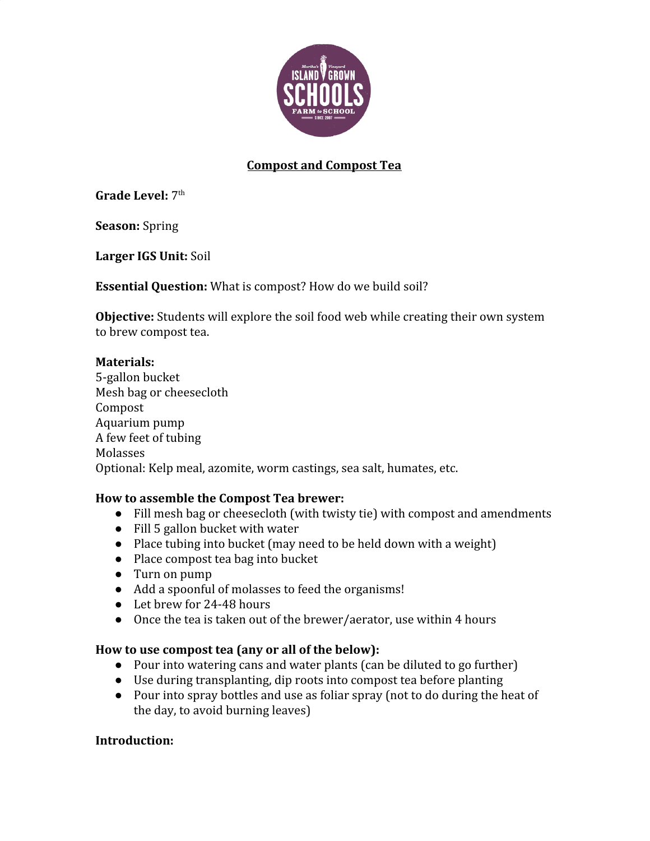

# **Compost and Compost Tea**

**Grade Level: 7th** 

**Season:** Spring

**Larger IGS Unit:** Soil

**Essential Question:** What is compost? How do we build soil?

**Objective:** Students will explore the soil food web while creating their own system to brew compost tea.

#### **Materials:**

5-gallon bucket Mesh bag or cheesecloth Compost Aquarium pump A few feet of tubing Molasses Optional: Kelp meal, azomite, worm castings, sea salt, humates, etc.

### **How to assemble the Compost Tea brewer:**

- Fill mesh bag or cheesecloth (with twisty tie) with compost and amendments
- Fill 5 gallon bucket with water
- Place tubing into bucket (may need to be held down with a weight)
- Place compost tea bag into bucket
- Turn on pump
- Add a spoonful of molasses to feed the organisms!
- Let brew for 24-48 hours
- Once the tea is taken out of the brewer/aerator, use within 4 hours

#### **How to use compost tea (any or all of the below):**

- Pour into watering cans and water plants (can be diluted to go further)
- Use during transplanting, dip roots into compost tea before planting
- Pour into spray bottles and use as foliar spray (not to do during the heat of the day, to avoid burning leaves)

#### **Introduction:**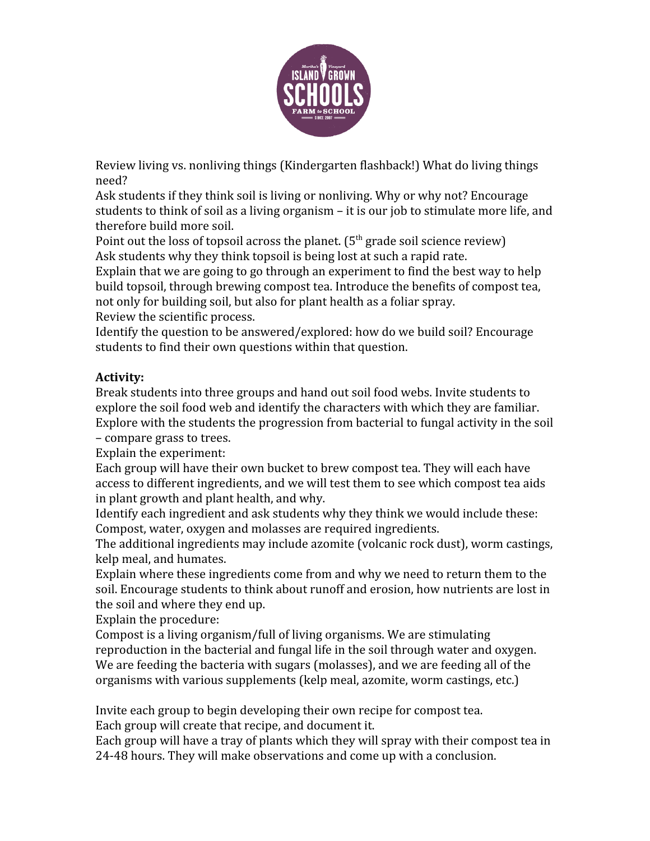

Review living vs. nonliving things (Kindergarten flashback!) What do living things need?

Ask students if they think soil is living or nonliving. Why or why not? Encourage students to think of soil as a living organism – it is our job to stimulate more life, and therefore build more soil.

Point out the loss of topsoil across the planet.  $5<sup>th</sup>$  grade soil science review) Ask students why they think topsoil is being lost at such a rapid rate.

Explain that we are going to go through an experiment to find the best way to help build topsoil, through brewing compost tea. Introduce the benefits of compost tea, not only for building soil, but also for plant health as a foliar spray. Review the scientific process.

Identify the question to be answered/explored: how do we build soil? Encourage students to find their own questions within that question.

# **Activity:**

Break students into three groups and hand out soil food webs. Invite students to explore the soil food web and identify the characters with which they are familiar. Explore with the students the progression from bacterial to fungal activity in the soil – compare grass to trees.

Explain the experiment:

Each group will have their own bucket to brew compost tea. They will each have access to different ingredients, and we will test them to see which compost tea aids in plant growth and plant health, and why.

Identify each ingredient and ask students why they think we would include these: Compost, water, oxygen and molasses are required ingredients.

The additional ingredients may include azomite (volcanic rock dust), worm castings, kelp meal, and humates.

Explain where these ingredients come from and why we need to return them to the soil. Encourage students to think about runoff and erosion, how nutrients are lost in the soil and where they end up.

Explain the procedure:

Compost is a living organism/full of living organisms. We are stimulating reproduction in the bacterial and fungal life in the soil through water and oxygen. We are feeding the bacteria with sugars (molasses), and we are feeding all of the organisms with various supplements (kelp meal, azomite, worm castings, etc.)

Invite each group to begin developing their own recipe for compost tea.

Each group will create that recipe, and document it.

Each group will have a tray of plants which they will spray with their compost tea in 24-48 hours. They will make observations and come up with a conclusion.